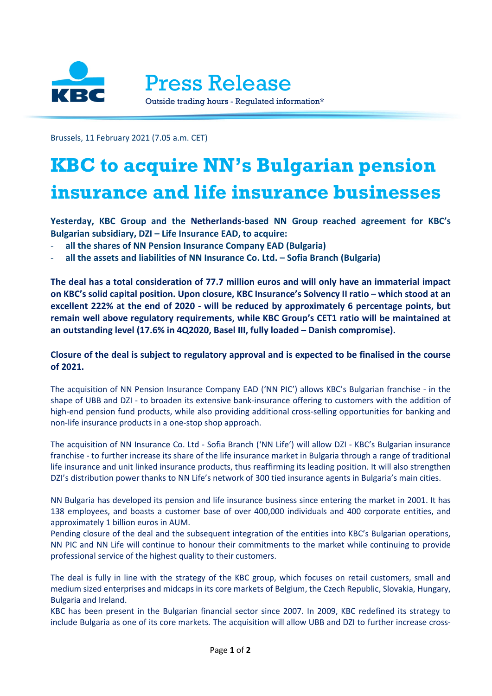

Brussels, 11 February 2021 (7.05 a.m. CET)

## **KBC to acquire NN's Bulgarian pension insurance and life insurance businesses**

**Yesterday, KBC Group and the Netherlands-based NN Group reached agreement for KBC's Bulgarian subsidiary, DZI – Life Insurance EAD, to acquire:**

- **all the shares of NN Pension Insurance Company EAD (Bulgaria)**
- **all the assets and liabilities of NN Insurance Co. Ltd. – Sofia Branch (Bulgaria)**

**The deal has a total consideration of 77.7 million euros and will only have an immaterial impact on KBC's solid capital position. Upon closure, KBC Insurance's Solvency II ratio – which stood at an excellent 222% at the end of 2020 - will be reduced by approximately 6 percentage points, but remain well above regulatory requirements, while KBC Group's CET1 ratio will be maintained at an outstanding level (17.6% in 4Q2020, Basel III, fully loaded – Danish compromise).**

## **Closure of the deal is subject to regulatory approval and is expected to be finalised in the course of 2021.**

The acquisition of NN Pension Insurance Company EAD ('NN PIC') allows KBC's Bulgarian franchise - in the shape of UBB and DZI - to broaden its extensive bank-insurance offering to customers with the addition of high-end pension fund products, while also providing additional cross-selling opportunities for banking and non-life insurance products in a one-stop shop approach.

The acquisition of NN Insurance Co. Ltd - Sofia Branch ('NN Life') will allow DZI - KBC's Bulgarian insurance franchise - to further increase its share of the life insurance market in Bulgaria through a range of traditional life insurance and unit linked insurance products, thus reaffirming its leading position. It will also strengthen DZI's distribution power thanks to NN Life's network of 300 tied insurance agents in Bulgaria's main cities.

NN Bulgaria has developed its pension and life insurance business since entering the market in 2001. It has 138 employees, and boasts a customer base of over 400,000 individuals and 400 corporate entities, and approximately 1 billion euros in AUM.

Pending closure of the deal and the subsequent integration of the entities into KBC's Bulgarian operations, NN PIC and NN Life will continue to honour their commitments to the market while continuing to provide professional service of the highest quality to their customers.

The deal is fully in line with the strategy of the KBC group, which focuses on retail customers, small and medium sized enterprises and midcaps in its core markets of Belgium, the Czech Republic, Slovakia, Hungary, Bulgaria and Ireland.

KBC has been present in the Bulgarian financial sector since 2007. In 2009, KBC redefined its strategy to include Bulgaria as one of its core markets*.* The acquisition will allow UBB and DZI to further increase cross